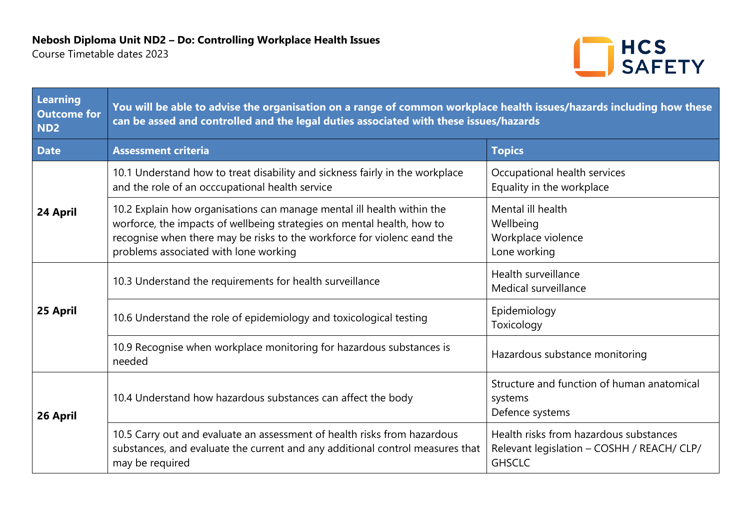Course Timetable dates 2023



| Learning<br><b>Outcome for</b><br>ND <sub>2</sub> | You will be able to advise the organisation on a range of common workplace health issues/hazards including how these<br>can be assed and controlled and the legal duties associated with these issues/hazards                                                        |                                                                                                       |  |
|---------------------------------------------------|----------------------------------------------------------------------------------------------------------------------------------------------------------------------------------------------------------------------------------------------------------------------|-------------------------------------------------------------------------------------------------------|--|
| <b>Date</b>                                       | <b>Assessment criteria</b>                                                                                                                                                                                                                                           | <b>Topics</b>                                                                                         |  |
| 24 April                                          | 10.1 Understand how to treat disability and sickness fairly in the workplace<br>and the role of an occcupational health service                                                                                                                                      | Occupational health services<br>Equality in the workplace                                             |  |
|                                                   | 10.2 Explain how organisations can manage mental ill health within the<br>worforce, the impacts of wellbeing strategies on mental health, how to<br>recognise when there may be risks to the workforce for violenc eand the<br>problems associated with lone working | Mental ill health<br>Wellbeing<br>Workplace violence<br>Lone working                                  |  |
| 25 April                                          | 10.3 Understand the requirements for health surveillance                                                                                                                                                                                                             | Health surveillance<br>Medical surveillance                                                           |  |
|                                                   | 10.6 Understand the role of epidemiology and toxicological testing                                                                                                                                                                                                   | Epidemiology<br>Toxicology                                                                            |  |
|                                                   | 10.9 Recognise when workplace monitoring for hazardous substances is<br>needed                                                                                                                                                                                       | Hazardous substance monitoring                                                                        |  |
| 26 April                                          | 10.4 Understand how hazardous substances can affect the body                                                                                                                                                                                                         | Structure and function of human anatomical<br>systems<br>Defence systems                              |  |
|                                                   | 10.5 Carry out and evaluate an assessment of health risks from hazardous<br>substances, and evaluate the current and any additional control measures that<br>may be required                                                                                         | Health risks from hazardous substances<br>Relevant legislation - COSHH / REACH/ CLP/<br><b>GHSCLC</b> |  |